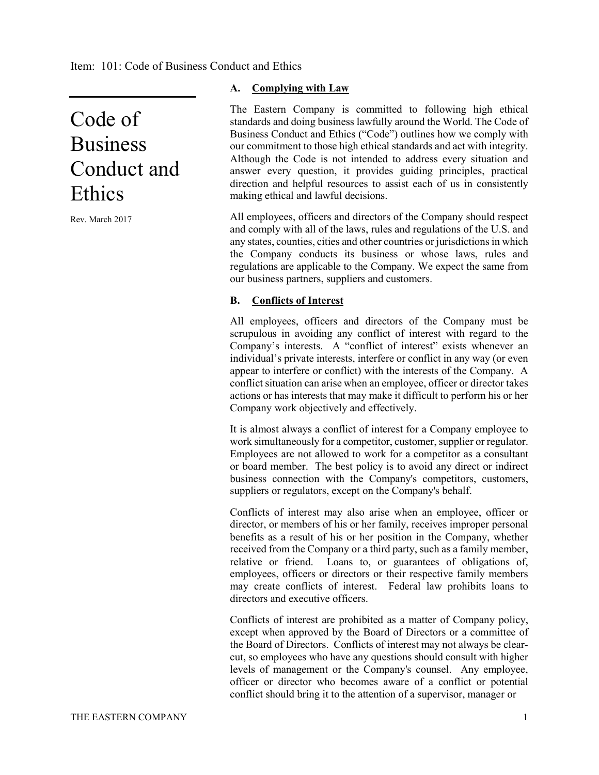# Code of Business Conduct and Ethics

Rev. March 2017

## **A. Complying with Law**

The Eastern Company is committed to following high ethical standards and doing business lawfully around the World. The Code of Business Conduct and Ethics ("Code") outlines how we comply with our commitment to those high ethical standards and act with integrity. Although the Code is not intended to address every situation and answer every question, it provides guiding principles, practical direction and helpful resources to assist each of us in consistently making ethical and lawful decisions.

All employees, officers and directors of the Company should respect and comply with all of the laws, rules and regulations of the U.S. and any states, counties, cities and other countries or jurisdictions in which the Company conducts its business or whose laws, rules and regulations are applicable to the Company. We expect the same from our business partners, suppliers and customers.

## **B. Conflicts of Interest**

All employees, officers and directors of the Company must be scrupulous in avoiding any conflict of interest with regard to the Company's interests. A "conflict of interest" exists whenever an individual's private interests, interfere or conflict in any way (or even appear to interfere or conflict) with the interests of the Company. A conflict situation can arise when an employee, officer or director takes actions or has interests that may make it difficult to perform his or her Company work objectively and effectively.

It is almost always a conflict of interest for a Company employee to work simultaneously for a competitor, customer, supplier or regulator. Employees are not allowed to work for a competitor as a consultant or board member. The best policy is to avoid any direct or indirect business connection with the Company's competitors, customers, suppliers or regulators, except on the Company's behalf.

Conflicts of interest may also arise when an employee, officer or director, or members of his or her family, receives improper personal benefits as a result of his or her position in the Company, whether received from the Company or a third party, such as a family member, relative or friend. Loans to, or guarantees of obligations of, employees, officers or directors or their respective family members may create conflicts of interest. Federal law prohibits loans to directors and executive officers.

Conflicts of interest are prohibited as a matter of Company policy, except when approved by the Board of Directors or a committee of the Board of Directors. Conflicts of interest may not always be clearcut, so employees who have any questions should consult with higher levels of management or the Company's counsel. Any employee, officer or director who becomes aware of a conflict or potential conflict should bring it to the attention of a supervisor, manager or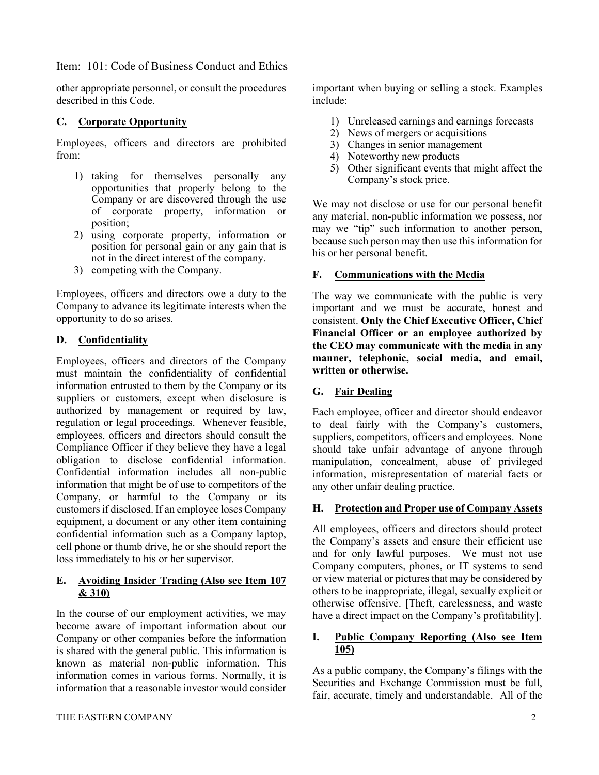other appropriate personnel, or consult the procedures described in this Code.

# **C. Corporate Opportunity**

Employees, officers and directors are prohibited from:

- 1) taking for themselves personally any opportunities that properly belong to the Company or are discovered through the use of corporate property, information or position;
- 2) using corporate property, information or position for personal gain or any gain that is not in the direct interest of the company.
- 3) competing with the Company.

Employees, officers and directors owe a duty to the Company to advance its legitimate interests when the opportunity to do so arises.

## **D. Confidentiality**

Employees, officers and directors of the Company must maintain the confidentiality of confidential information entrusted to them by the Company or its suppliers or customers, except when disclosure is authorized by management or required by law, regulation or legal proceedings. Whenever feasible, employees, officers and directors should consult the Compliance Officer if they believe they have a legal obligation to disclose confidential information. Confidential information includes all non-public information that might be of use to competitors of the Company, or harmful to the Company or its customers if disclosed. If an employee loses Company equipment, a document or any other item containing confidential information such as a Company laptop, cell phone or thumb drive, he or she should report the loss immediately to his or her supervisor.

#### **E. Avoiding Insider Trading (Also see Item 107 & 310)**

In the course of our employment activities, we may become aware of important information about our Company or other companies before the information is shared with the general public. This information is known as material non-public information. This information comes in various forms. Normally, it is information that a reasonable investor would consider important when buying or selling a stock. Examples include:

- 1) Unreleased earnings and earnings forecasts
- 2) News of mergers or acquisitions
- 3) Changes in senior management
- 4) Noteworthy new products
- 5) Other significant events that might affect the Company's stock price.

We may not disclose or use for our personal benefit any material, non-public information we possess, nor may we "tip" such information to another person, because such person may then use this information for his or her personal benefit.

## **F. Communications with the Media**

The way we communicate with the public is very important and we must be accurate, honest and consistent. **Only the Chief Executive Officer, Chief Financial Officer or an employee authorized by the CEO may communicate with the media in any manner, telephonic, social media, and email, written or otherwise.**

# **G. Fair Dealing**

Each employee, officer and director should endeavor to deal fairly with the Company's customers, suppliers, competitors, officers and employees. None should take unfair advantage of anyone through manipulation, concealment, abuse of privileged information, misrepresentation of material facts or any other unfair dealing practice.

## **H. Protection and Proper use of Company Assets**

All employees, officers and directors should protect the Company's assets and ensure their efficient use and for only lawful purposes. We must not use Company computers, phones, or IT systems to send or view material or pictures that may be considered by others to be inappropriate, illegal, sexually explicit or otherwise offensive. [Theft, carelessness, and waste have a direct impact on the Company's profitability].

## **I. Public Company Reporting (Also see Item 105)**

As a public company, the Company's filings with the Securities and Exchange Commission must be full, fair, accurate, timely and understandable. All of the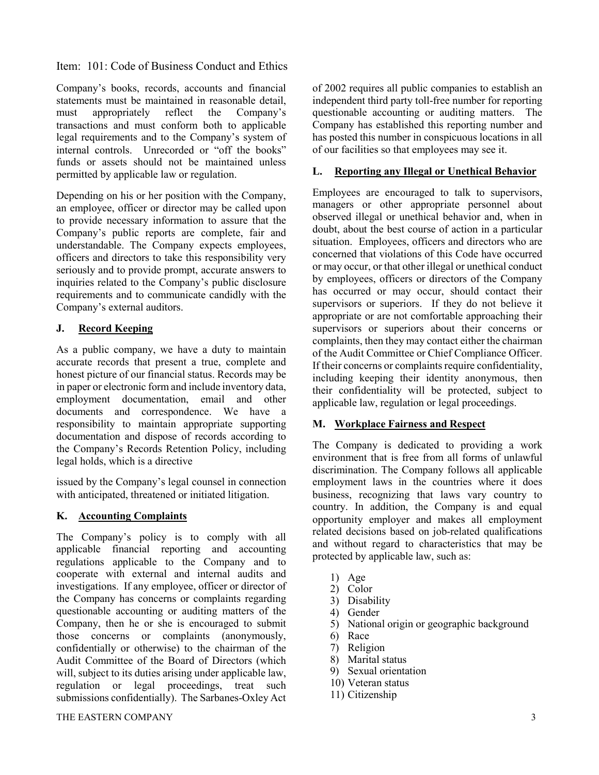Company's books, records, accounts and financial statements must be maintained in reasonable detail, must appropriately reflect the Company's transactions and must conform both to applicable legal requirements and to the Company's system of internal controls. Unrecorded or "off the books" funds or assets should not be maintained unless permitted by applicable law or regulation.

Depending on his or her position with the Company, an employee, officer or director may be called upon to provide necessary information to assure that the Company's public reports are complete, fair and understandable. The Company expects employees, officers and directors to take this responsibility very seriously and to provide prompt, accurate answers to inquiries related to the Company's public disclosure requirements and to communicate candidly with the Company's external auditors.

# **J. Record Keeping**

As a public company, we have a duty to maintain accurate records that present a true, complete and honest picture of our financial status. Records may be in paper or electronic form and include inventory data, employment documentation, email and other documents and correspondence. We have a responsibility to maintain appropriate supporting documentation and dispose of records according to the Company's Records Retention Policy, including legal holds, which is a directive

issued by the Company's legal counsel in connection with anticipated, threatened or initiated litigation.

# **K. Accounting Complaints**

The Company's policy is to comply with all applicable financial reporting and accounting regulations applicable to the Company and to cooperate with external and internal audits and investigations. If any employee, officer or director of the Company has concerns or complaints regarding questionable accounting or auditing matters of the Company, then he or she is encouraged to submit those concerns or complaints (anonymously, confidentially or otherwise) to the chairman of the Audit Committee of the Board of Directors (which will, subject to its duties arising under applicable law, regulation or legal proceedings, treat such submissions confidentially). The Sarbanes-Oxley Act

of 2002 requires all public companies to establish an independent third party toll-free number for reporting questionable accounting or auditing matters. The Company has established this reporting number and has posted this number in conspicuous locations in all of our facilities so that employees may see it.

#### **L. Reporting any Illegal or Unethical Behavior**

Employees are encouraged to talk to supervisors, managers or other appropriate personnel about observed illegal or unethical behavior and, when in doubt, about the best course of action in a particular situation. Employees, officers and directors who are concerned that violations of this Code have occurred or may occur, or that other illegal or unethical conduct by employees, officers or directors of the Company has occurred or may occur, should contact their supervisors or superiors. If they do not believe it appropriate or are not comfortable approaching their supervisors or superiors about their concerns or complaints, then they may contact either the chairman of the Audit Committee or Chief Compliance Officer. If their concerns or complaints require confidentiality, including keeping their identity anonymous, then their confidentiality will be protected, subject to applicable law, regulation or legal proceedings.

# **M. Workplace Fairness and Respect**

The Company is dedicated to providing a work environment that is free from all forms of unlawful discrimination. The Company follows all applicable employment laws in the countries where it does business, recognizing that laws vary country to country. In addition, the Company is and equal opportunity employer and makes all employment related decisions based on job-related qualifications and without regard to characteristics that may be protected by applicable law, such as:

- 1) Age
- 2) Color
- 3) Disability
- 4) Gender
- 5) National origin or geographic background
- 6) Race
- 7) Religion
- 8) Marital status
- 9) Sexual orientation
- 10) Veteran status
- 11) Citizenship

#### THE EASTERN COMPANY 3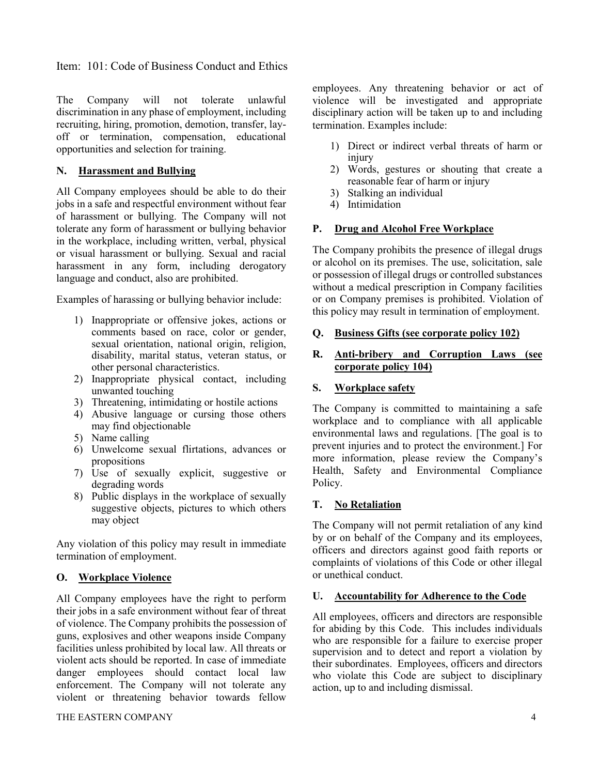The Company will not tolerate unlawful discrimination in any phase of employment, including recruiting, hiring, promotion, demotion, transfer, layoff or termination, compensation, educational opportunities and selection for training.

# **N. Harassment and Bullying**

All Company employees should be able to do their jobs in a safe and respectful environment without fear of harassment or bullying. The Company will not tolerate any form of harassment or bullying behavior in the workplace, including written, verbal, physical or visual harassment or bullying. Sexual and racial harassment in any form, including derogatory language and conduct, also are prohibited.

Examples of harassing or bullying behavior include:

- 1) Inappropriate or offensive jokes, actions or comments based on race, color or gender, sexual orientation, national origin, religion, disability, marital status, veteran status, or other personal characteristics.
- 2) Inappropriate physical contact, including unwanted touching
- 3) Threatening, intimidating or hostile actions
- 4) Abusive language or cursing those others may find objectionable
- 5) Name calling
- 6) Unwelcome sexual flirtations, advances or propositions
- 7) Use of sexually explicit, suggestive or degrading words
- 8) Public displays in the workplace of sexually suggestive objects, pictures to which others may object

Any violation of this policy may result in immediate termination of employment.

# **O. Workplace Violence**

All Company employees have the right to perform their jobs in a safe environment without fear of threat of violence. The Company prohibits the possession of guns, explosives and other weapons inside Company facilities unless prohibited by local law. All threats or violent acts should be reported. In case of immediate danger employees should contact local law enforcement. The Company will not tolerate any violent or threatening behavior towards fellow

#### THE EASTERN COMPANY 4

employees. Any threatening behavior or act of violence will be investigated and appropriate disciplinary action will be taken up to and including termination. Examples include:

- 1) Direct or indirect verbal threats of harm or injury
- 2) Words, gestures or shouting that create a reasonable fear of harm or injury
- 3) Stalking an individual
- 4) Intimidation

## **P. Drug and Alcohol Free Workplace**

The Company prohibits the presence of illegal drugs or alcohol on its premises. The use, solicitation, sale or possession of illegal drugs or controlled substances without a medical prescription in Company facilities or on Company premises is prohibited. Violation of this policy may result in termination of employment.

#### **Q. Business Gifts (see corporate policy 102)**

## **R. Anti-bribery and Corruption Laws (see corporate policy 104)**

## **S. Workplace safety**

The Company is committed to maintaining a safe workplace and to compliance with all applicable environmental laws and regulations. [The goal is to prevent injuries and to protect the environment.] For more information, please review the Company's Health, Safety and Environmental Compliance Policy.

# **T. No Retaliation**

The Company will not permit retaliation of any kind by or on behalf of the Company and its employees, officers and directors against good faith reports or complaints of violations of this Code or other illegal or unethical conduct.

#### **U. Accountability for Adherence to the Code**

All employees, officers and directors are responsible for abiding by this Code. This includes individuals who are responsible for a failure to exercise proper supervision and to detect and report a violation by their subordinates. Employees, officers and directors who violate this Code are subject to disciplinary action, up to and including dismissal.